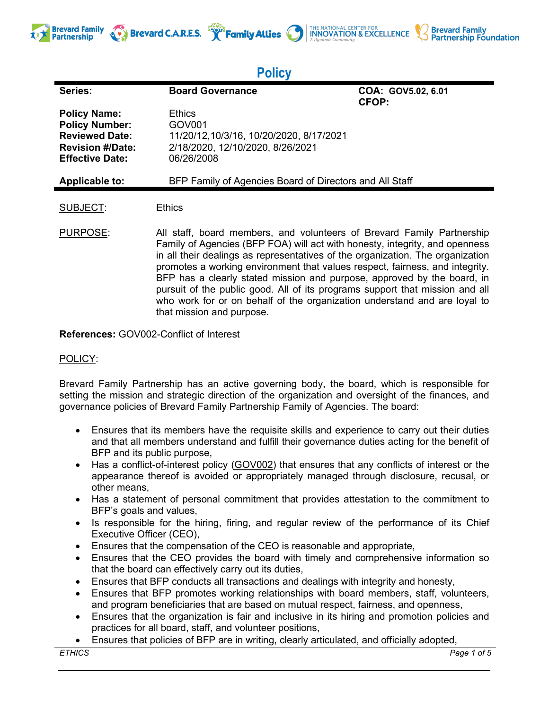



# **Policy**

| Series:                                                                                                                    | <b>Board Governance</b>                                                                                                                                                                                                                                                                                                                                                                                                                                                                                                                                         | COA: GOV5.02, 6.01<br><b>CFOP:</b> |
|----------------------------------------------------------------------------------------------------------------------------|-----------------------------------------------------------------------------------------------------------------------------------------------------------------------------------------------------------------------------------------------------------------------------------------------------------------------------------------------------------------------------------------------------------------------------------------------------------------------------------------------------------------------------------------------------------------|------------------------------------|
| <b>Policy Name:</b><br><b>Policy Number:</b><br><b>Reviewed Date:</b><br><b>Revision #/Date:</b><br><b>Effective Date:</b> | Ethics<br>GOV <sub>001</sub><br>11/20/12,10/3/16, 10/20/2020, 8/17/2021<br>2/18/2020, 12/10/2020, 8/26/2021<br>06/26/2008                                                                                                                                                                                                                                                                                                                                                                                                                                       |                                    |
| <b>Applicable to:</b>                                                                                                      | BFP Family of Agencies Board of Directors and All Staff                                                                                                                                                                                                                                                                                                                                                                                                                                                                                                         |                                    |
| <b>SUBJECT:</b>                                                                                                            | <b>Ethics</b>                                                                                                                                                                                                                                                                                                                                                                                                                                                                                                                                                   |                                    |
| PURPOSE:                                                                                                                   | All staff, board members, and volunteers of Brevard Family Partnership<br>Family of Agencies (BFP FOA) will act with honesty, integrity, and openness<br>in all their dealings as representatives of the organization. The organization<br>promotes a working environment that values respect, fairness, and integrity.<br>BFP has a clearly stated mission and purpose, approved by the board, in<br>pursuit of the public good. All of its programs support that mission and all<br>who work for or on behalf of the organization understand and are loyal to |                                    |

**References:** GOV002-Conflict of Interest

that mission and purpose.

## POLICY:

**Brevard Family** 

**Partnership** 

Brevard Family Partnership has an active governing body, the board, which is responsible for setting the mission and strategic direction of the organization and oversight of the finances, and governance policies of Brevard Family Partnership Family of Agencies. The board:

- Ensures that its members have the requisite skills and experience to carry out their duties and that all members understand and fulfill their governance duties acting for the benefit of BFP and its public purpose,
- Has a conflict-of-interest policy (GOV002) that ensures that any conflicts of interest or the appearance thereof is avoided or appropriately managed through disclosure, recusal, or other means,
- Has a statement of personal commitment that provides attestation to the commitment to BFP's goals and values,
- Is responsible for the hiring, firing, and regular review of the performance of its Chief Executive Officer (CEO),
- Ensures that the compensation of the CEO is reasonable and appropriate,
- Ensures that the CEO provides the board with timely and comprehensive information so that the board can effectively carry out its duties,
- Ensures that BFP conducts all transactions and dealings with integrity and honesty,
- Ensures that BFP promotes working relationships with board members, staff, volunteers, and program beneficiaries that are based on mutual respect, fairness, and openness,
- Ensures that the organization is fair and inclusive in its hiring and promotion policies and practices for all board, staff, and volunteer positions,
- Ensures that policies of BFP are in writing, clearly articulated, and officially adopted,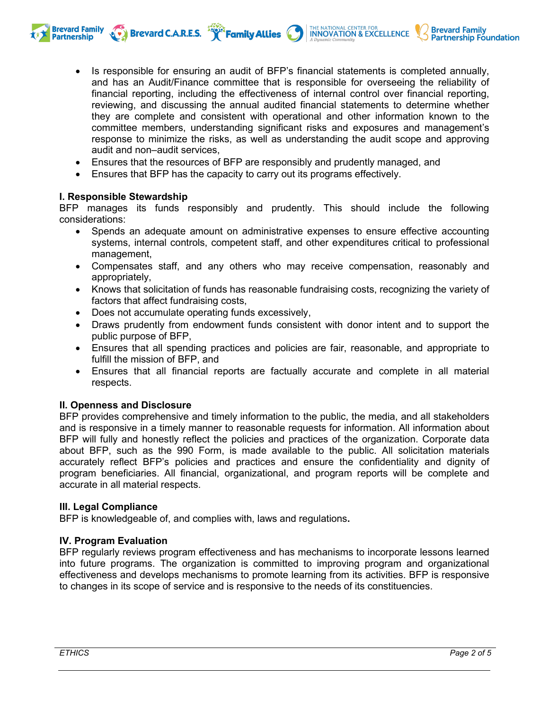**Brevard C.A.R.E.S. THE NATIONAL CENTER FOR SEXCELLENCE** 

- Is responsible for ensuring an audit of BFP's financial statements is completed annually, and has an Audit/Finance committee that is responsible for overseeing the reliability of financial reporting, including the effectiveness of internal control over financial reporting, reviewing, and discussing the annual audited financial statements to determine whether they are complete and consistent with operational and other information known to the committee members, understanding significant risks and exposures and management's response to minimize the risks, as well as understanding the audit scope and approving audit and non–audit services,
- Ensures that the resources of BFP are responsibly and prudently managed, and
- Ensures that BFP has the capacity to carry out its programs effectively.

#### **I. Responsible Stewardship**

**Brevard Family** 

**Partnership** 

BFP manages its funds responsibly and prudently. This should include the following considerations:

- Spends an adequate amount on administrative expenses to ensure effective accounting systems, internal controls, competent staff, and other expenditures critical to professional management,
- Compensates staff, and any others who may receive compensation, reasonably and appropriately,
- Knows that solicitation of funds has reasonable fundraising costs, recognizing the variety of factors that affect fundraising costs,
- Does not accumulate operating funds excessively,
- Draws prudently from endowment funds consistent with donor intent and to support the public purpose of BFP,
- Ensures that all spending practices and policies are fair, reasonable, and appropriate to fulfill the mission of BFP, and
- Ensures that all financial reports are factually accurate and complete in all material respects.

#### **II. Openness and Disclosure**

BFP provides comprehensive and timely information to the public, the media, and all stakeholders and is responsive in a timely manner to reasonable requests for information. All information about BFP will fully and honestly reflect the policies and practices of the organization. Corporate data about BFP, such as the 990 Form, is made available to the public. All solicitation materials accurately reflect BFP's policies and practices and ensure the confidentiality and dignity of program beneficiaries. All financial, organizational, and program reports will be complete and accurate in all material respects.

#### **III. Legal Compliance**

BFP is knowledgeable of, and complies with, laws and regulations**.**

## **IV. Program Evaluation**

BFP regularly reviews program effectiveness and has mechanisms to incorporate lessons learned into future programs. The organization is committed to improving program and organizational effectiveness and develops mechanisms to promote learning from its activities. BFP is responsive to changes in its scope of service and is responsive to the needs of its constituencies.

**Brevard Family** 

**Partnership Foundation**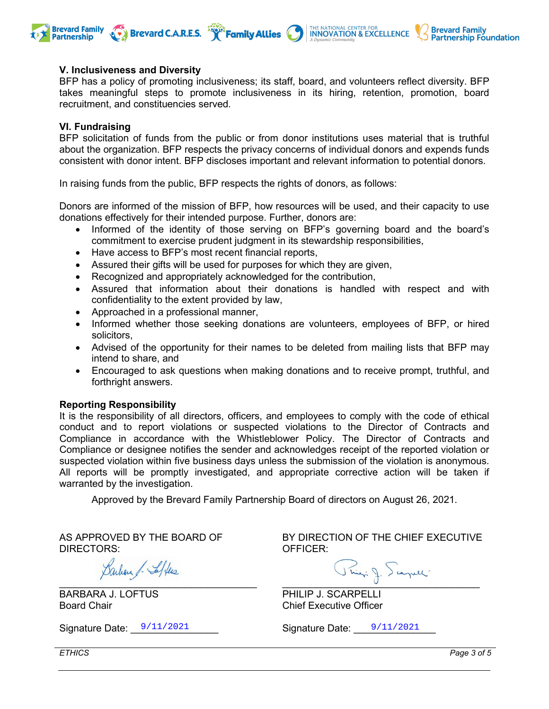

#### **V. Inclusiveness and Diversity**

BFP has a policy of promoting inclusiveness; its staff, board, and volunteers reflect diversity. BFP takes meaningful steps to promote inclusiveness in its hiring, retention, promotion, board recruitment, and constituencies served.

#### **VI. Fundraising**

BFP solicitation of funds from the public or from donor institutions uses material that is truthful about the organization. BFP respects the privacy concerns of individual donors and expends funds consistent with donor intent. BFP discloses important and relevant information to potential donors.

In raising funds from the public, BFP respects the rights of donors, as follows:

Donors are informed of the mission of BFP, how resources will be used, and their capacity to use donations effectively for their intended purpose. Further, donors are:

- Informed of the identity of those serving on BFP's governing board and the board's commitment to exercise prudent judgment in its stewardship responsibilities,
- Have access to BFP's most recent financial reports,
- Assured their gifts will be used for purposes for which they are given,
- Recognized and appropriately acknowledged for the contribution,
- Assured that information about their donations is handled with respect and with confidentiality to the extent provided by law,
- Approached in a professional manner,
- Informed whether those seeking donations are volunteers, employees of BFP, or hired solicitors,
- Advised of the opportunity for their names to be deleted from mailing lists that BFP may intend to share, and
- Encouraged to ask questions when making donations and to receive prompt, truthful, and forthright answers.

#### **Reporting Responsibility**

It is the responsibility of all directors, officers, and employees to comply with the code of ethical conduct and to report violations or suspected violations to the Director of Contracts and Compliance in accordance with the Whistleblower Policy. The Director of Contracts and Compliance or designee notifies the sender and acknowledges receipt of the reported violation or suspected violation within five business days unless the submission of the violation is anonymous. All reports will be promptly investigated, and appropriate corrective action will be taken if warranted by the investigation.

Approved by the Brevard Family Partnership Board of directors on August 26, 2021.

AS APPROVED BY THE BOARD OF DIRECTORS:

Barbara J. Seffers  $\Box$ 

BARBARA J. LOFTUS Board Chair

BY DIRECTION OF THE CHIEF EXECUTIVE OFFICER:

\_\_\_\_\_\_\_\_\_\_\_\_\_\_\_\_\_\_\_\_\_\_\_\_\_\_\_\_\_\_\_\_\_\_\_\_

PHILIP J. SCARPELLI Chief Executive Officer

Signature Date:  $\frac{9}{11/2021}$  Signature Date:  $\frac{9}{11/2021}$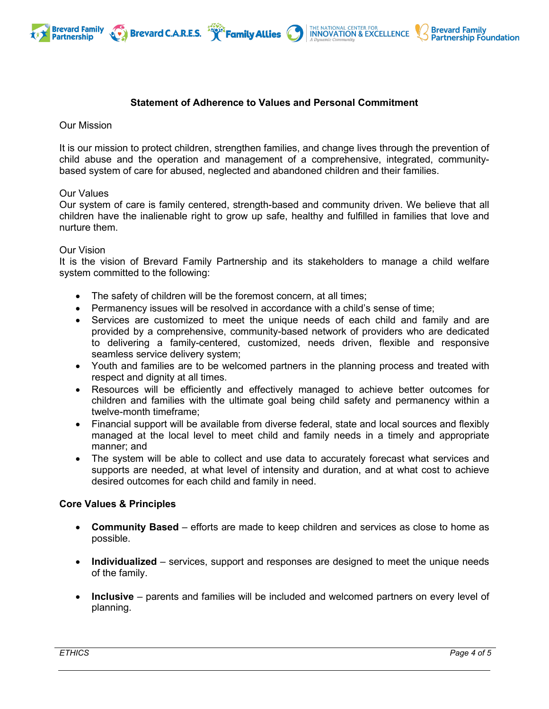

## THE NATIONAL CENTER FOR **INNOVATION & EXCELLENCE**



## **Statement of Adherence to Values and Personal Commitment**

#### Our Mission

It is our mission to protect children, strengthen families, and change lives through the prevention of child abuse and the operation and management of a comprehensive, integrated, communitybased system of care for abused, neglected and abandoned children and their families.

#### Our Values

Our system of care is family centered, strength-based and community driven. We believe that all children have the inalienable right to grow up safe, healthy and fulfilled in families that love and nurture them.

#### Our Vision

It is the vision of Brevard Family Partnership and its stakeholders to manage a child welfare system committed to the following:

- The safety of children will be the foremost concern, at all times;
- Permanency issues will be resolved in accordance with a child's sense of time;
- Services are customized to meet the unique needs of each child and family and are provided by a comprehensive, community-based network of providers who are dedicated to delivering a family-centered, customized, needs driven, flexible and responsive seamless service delivery system;
- Youth and families are to be welcomed partners in the planning process and treated with respect and dignity at all times.
- Resources will be efficiently and effectively managed to achieve better outcomes for children and families with the ultimate goal being child safety and permanency within a twelve-month timeframe;
- Financial support will be available from diverse federal, state and local sources and flexibly managed at the local level to meet child and family needs in a timely and appropriate manner; and
- The system will be able to collect and use data to accurately forecast what services and supports are needed, at what level of intensity and duration, and at what cost to achieve desired outcomes for each child and family in need.

#### **Core Values & Principles**

- **Community Based** efforts are made to keep children and services as close to home as possible.
- **Individualized** services, support and responses are designed to meet the unique needs of the family.
- **Inclusive** parents and families will be included and welcomed partners on every level of planning.